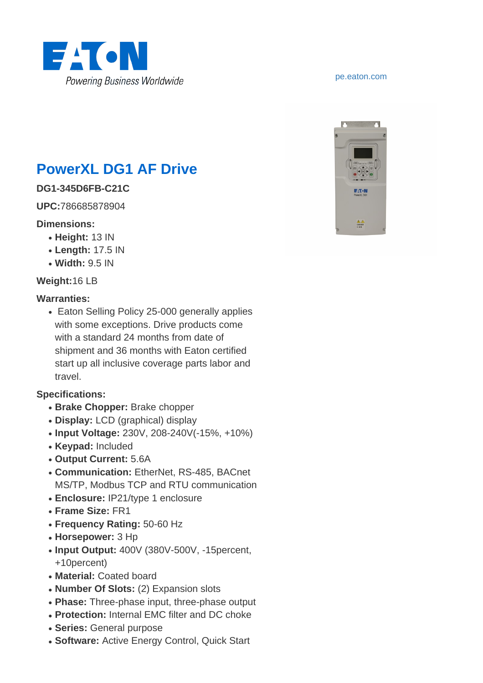

# **PowerXL DG1 AF Drive**

### **DG1-345D6FB-C21C**

**UPC:**786685878904

### **Dimensions:**

- **Height:** 13 IN
- **Length:** 17.5 IN
- **Width:** 9.5 IN

### **Weight:**16 LB

### **Warranties:**

• Eaton Selling Policy 25-000 generally applies with some exceptions. Drive products come with a standard 24 months from date of shipment and 36 months with Eaton certified start up all inclusive coverage parts labor and travel.

### **Specifications:**

- **Brake Chopper: Brake chopper**
- **Display:** LCD (graphical) display
- **Input Voltage:** 230V, 208-240V(-15%, +10%)
- **Keypad:** Included
- **Output Current:** 5.6A
- **Communication:** EtherNet, RS-485, BACnet MS/TP, Modbus TCP and RTU communication
- **Enclosure:** IP21/type 1 enclosure
- **Frame Size:** FR1
- **Frequency Rating:** 50-60 Hz
- **Horsepower:** 3 Hp
- Input Output: 400V (380V-500V, -15percent, +10percent)
- **Material:** Coated board
- **Number Of Slots:** (2) Expansion slots
- Phase: Three-phase input, three-phase output
- **Protection:** Internal EMC filter and DC choke
- **Series:** General purpose
- **Software:** Active Energy Control, Quick Start

#### <pe.eaton.com>